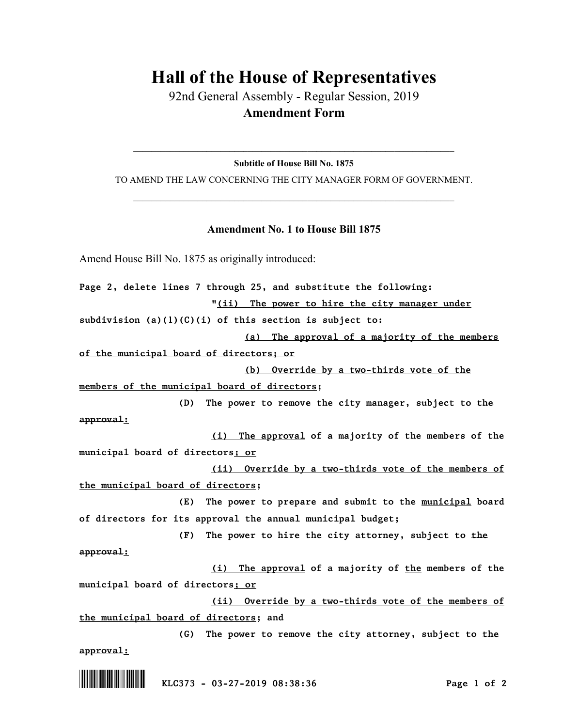## **Hall of the House of Representatives**

92nd General Assembly - Regular Session, 2019 **Amendment Form**

 $\_$  , and the set of the set of the set of the set of the set of the set of the set of the set of the set of the set of the set of the set of the set of the set of the set of the set of the set of the set of the set of th **Subtitle of House Bill No. 1875**

TO AMEND THE LAW CONCERNING THE CITY MANAGER FORM OF GOVERNMENT.  $\_$  , and the set of the set of the set of the set of the set of the set of the set of the set of the set of the set of the set of the set of the set of the set of the set of the set of the set of the set of the set of th

## **Amendment No. 1 to House Bill 1875**

Amend House Bill No. 1875 as originally introduced:

*Page 2, delete lines 7 through 25, and substitute the following:*

*"(ii) The power to hire the city manager under* 

*subdivision (a)(1)(C)(i) of this section is subject to:*

*(a) The approval of a majority of the members* 

*of the municipal board of directors; or*

*(b) Override by a two-thirds vote of the* 

*members of the municipal board of directors;*

*(D) The power to remove the city manager, subject to the approval:*

*(i) The approval of a majority of the members of the municipal board of directors; or* 

*(ii) Override by a two-thirds vote of the members of the municipal board of directors;*

*(E) The power to prepare and submit to the municipal board of directors for its approval the annual municipal budget;*

*(F) The power to hire the city attorney, subject to the approval:*

*(i) The approval of a majority of the members of the municipal board of directors; or* 

*(ii) Override by a two-thirds vote of the members of the municipal board of directors; and*

*(G) The power to remove the city attorney, subject to the approval:*

\*.KLC373\* *KLC373 - 03-27-2019 08:38:36 Page 1 of 2*